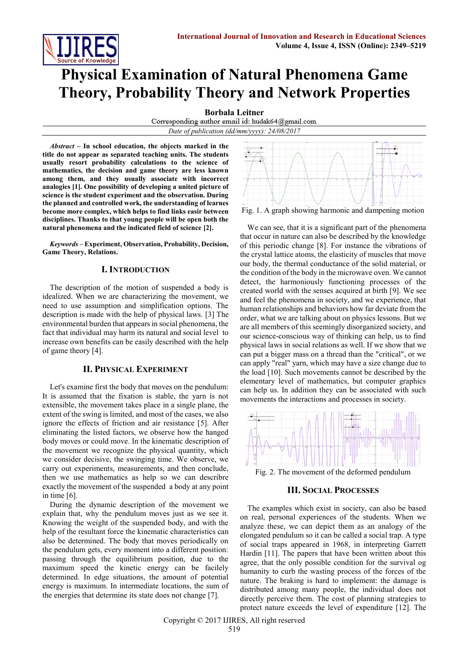

# **Physical Examination of Natural Phenomena Game Theory, Probability Theory and Network Properties**

**Borbala Leitner**<br>Corresponding author email id: hudak64@gmail.com *Date of publication (dd/mm/yyyy): 24/08/2017*

*Abstract* **– In school education, the objects marked in the title do not appear as separated teaching units. The students usually resort probability calculations to the science of mathematics, the decision and game theory are less known among them, and they usually associate with incorrect analogies [1]. One possibility of developing a united picture of science is the student experiment and the observation. During the planned and controlled work, the understanding of learnes become more complex, which helps to find links easir between disciplines. Thanks to that young people will be open both the natural phenomena and the indicated field of science [2].**

*Keywords* **– Experiment, Observation, Probability, Decision, Game Theory, Relations.** 

#### **I. INTRODUCTION**

The description of the motion of suspended a body is idealized. When we are characterizing the movement, we need to use assumption and simplification options. The description is made with the help of physical laws. [3] The environmental burden that appears in social phenomena, the fact that individual may harm its natural and social level to increase own benefits can be easily described with the help of game theory [4].

#### **II. PHYSICAL EXPERIMENT**

Let's examine first the body that moves on the pendulum: It is assumed that the fixation is stable, the yarn is not extensible, the movement takes place in a single plane, the extent of the swing is limited, and most of the cases, we also ignore the effects of friction and air resistance [5]. After eliminating the listed factors, we observe how the hanged body moves or could move. In the kinematic description of the movement we recognize the physical quantity, which we consider decisive, the swinging time. We observe, we carry out experiments, measurements, and then conclude, then we use mathematics as help so we can describre exactly the movement of the suspended a body at any point in time [6].

During the dynamic description of the movement we explain that, why the pendulum moves just as we see it. Knowing the weight of the suspended body, and with the help of the resultant force the kinematic characteristics can also be determined. The body that moves periodically on the pendulum gets, every moment into a different position: passing through the equilibrium position, due to the maximum speed the kinetic energy can be facilely determined. In edge situations, the amount of potential energy is maximum. In intermediate locations, the sum of the energies that determine its state does not change [7].



We can see, that it is a significant part of the phenomena that occur in nature can also be described by the knowledge of this periodic change [8]. For instance the vibrations of the crystal lattice atoms, the elasticity of muscles that move our body, the thermal conductance of the solid material, or the condition of the body in the microwave oven. We cannot detect, the harmoniously functioning processes of the created world with the senses acquired at birth [9]. We see and feel the phenomena in society, and we experience, that human relationships and behaviors how far deviate from the order, what we are talking about on physics lessons. But we are all members of this seemingly disorganized society, and our science-conscious way of thinking can help, us to find physical laws in social relations as well. If we show that we can put a bigger mass on a thread than the "critical", or we can apply "real" yarn, which may have a size change due to the load [10]. Such movements cannot be described by the elementary level of mathematics, but computer graphics can help us. In addition they can be associated with such movements the interactions and processes in society.



Fig. 2. The movement of the deformed pendulum

#### **III. SOCIAL PROCESSES**

The examples which exist in society, can also be based on real, personal experiences of the students. When we analyze these, we can depict them as an analogy of the elongated pendulum so it can be called a social trap. A type of social traps appeared in 1968, in interpreting Garrett Hardin [11]. The papers that have been written about this agree, that the only possible condition for the survival og humanity to curb the wasting process of the forces of the nature. The braking is hard to implement: the damage is distributed among many people, the individual does not directly perceive them. The cost of planning strategies to protect nature exceeds the level of expenditure [12]. The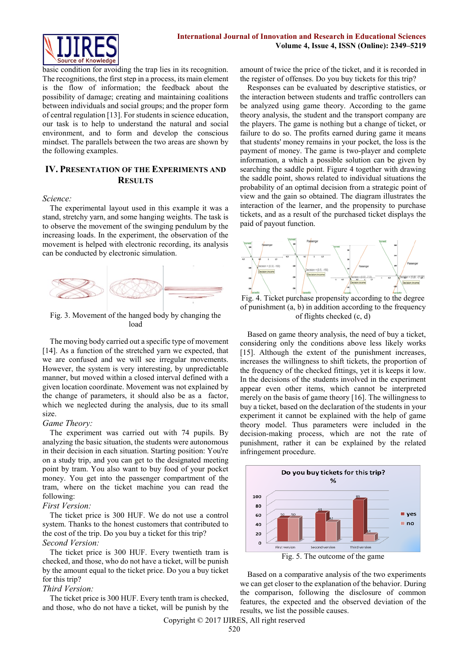

basic condition for avoiding the trap lies in its recognition. The recognitions, the first step in a process, its main element is the flow of information; the feedback about the possibility of damage; creating and maintaining coalitions between individuals and social groups; and the proper form of central regulation [13]. For students in science education, our task is to help to understand the natural and social environment, and to form and develop the conscious mindset. The parallels between the two areas are shown by the following examples.

## **IV. PRESENTATION OF THE EXPERIMENTS AND RESULTS**

#### *Science:*

The experimental layout used in this example it was a stand, stretchy yarn, and some hanging weights. The task is to observe the movement of the swinging pendulum by the increasing loads. In the experiment, the observation of the movement is helped with electronic recording, its analysis can be conducted by electronic simulation.



Fig. 3. Movement of the hanged body by changing the load

The moving body carried out a specific type of movement [14]. As a function of the stretched yarn we expected, that we are confused and we will see irregular movements. However, the system is very interesting, by unpredictable manner, but moved within a closed interval defined with a given location coordinate. Movement was not explained by the change of parameters, it should also be as a factor, which we neglected during the analysis, due to its small size.

#### *Game Theory:*

The experiment was carried out with 74 pupils. By analyzing the basic situation, the students were autonomous in their decision in each situation. Starting position: You're on a study trip, and you can get to the designated meeting point by tram. You also want to buy food of your pocket money. You get into the passenger compartment of the tram, where on the ticket machine you can read the following:

#### *First Version:*

The ticket price is 300 HUF. We do not use a control system. Thanks to the honest customers that contributed to the cost of the trip. Do you buy a ticket for this trip? *Second Version:*

The ticket price is 300 HUF. Every twentieth tram is checked, and those, who do not have a ticket, will be punish by the amount equal to the ticket price. Do you a buy ticket for this trip?

#### *Third Version:*

The ticket price is 300 HUF. Every tenth tram is checked, and those, who do not have a ticket, will be punish by the amount of twice the price of the ticket, and it is recorded in the register of offenses. Do you buy tickets for this trip?

Responses can be evaluated by descriptive statistics, or the interaction between students and traffic controllers can be analyzed using game theory. According to the game theory analysis, the student and the transport company are the players. The game is nothing but a change of ticket, or failure to do so. The profits earned during game it means that students' money remains in your pocket, the loss is the payment of money. The game is two-player and complete information, a which a possible solution can be given by searching the saddle point. Figure 4 together with drawing the saddle point, shows related to individual situations the probability of an optimal decision from a strategic point of view and the gain so obtained. The diagram illustrates the interaction of the learner, and the propensity to purchase tickets, and as a result of the purchased ticket displays the paid of payout function.



Fig. 4. Ticket purchase propensity according to the degree of punishment (a, b) in addition according to the frequency of flights checked (c, d)

Based on game theory analysis, the need of buy a ticket, considering only the conditions above less likely works [15]. Although the extent of the punishment increases, increases the willingness to shift tickets, the proportion of the frequency of the checked fittings, yet it is keeps it low. In the decisions of the students involved in the experiment appear even other items, which cannot be interpreted merely on the basis of game theory [16]. The willingness to buy a ticket, based on the declaration of the students in your experiment it cannot be explained with the help of game theory model. Thus parameters were included in the decision-making process, which are not the rate of punishment, rather it can be explained by the related infringement procedure.



Based on a comparative analysis of the two experiments we can get closer to the explanation of the behavior. During the comparison, following the disclosure of common features, the expected and the observed deviation of the results, we list the possible causes.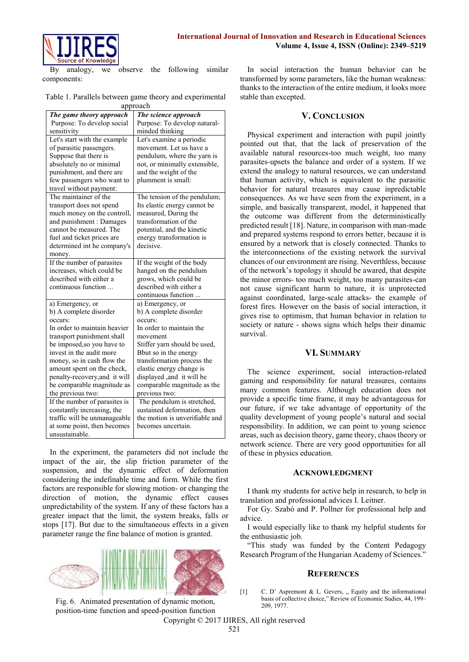

analogy, we observe the following similar components:

| Table 1. Parallels between game theory and experimental |
|---------------------------------------------------------|
| approach                                                |

| The game theory approach      | The science approach           |
|-------------------------------|--------------------------------|
| Purpose: To develop social    | Purpose: To develop natural-   |
| sensitivity                   | minded thinking                |
| Let's start with the example  | Let's examine a periodic       |
| of parasitic passengers.      | movement. Let us have a        |
| Suppose that there is         | pendulum, where the yarn is    |
| absolutely no or minimal      | not, or minimally extensible,  |
| punishment, and there are     | and the weight of the          |
| few passengers who want to    | plumment is small:             |
| travel without payment:       |                                |
| The maintainer of the         | The tension of the pendulum;   |
| transport does not spend      | Its elastic energy cannot be   |
| much money on the controll,   | measured, During the           |
| and punishment : Damages      | transformation of the          |
| cannot be measured. The       | potential, and the kinetic     |
| fuel and ticket prices are    | energy transformation is       |
| determined int he company's   | decisive.                      |
| money.                        |                                |
| If the number of parasites    | If the weight of the body      |
| increases, which could be     | hanged on the pendulum         |
| described with either a       | grows, which could be          |
| continuous function           | described with either a        |
|                               | continuous function            |
| a) Emergency, or              | a) Emergency, or               |
| b) A complete disorder        | b) A complete disorder         |
| occurs:                       | occurs:                        |
| In order to maintain heavier  | In order to maintain the       |
| transport punishment shall    | movement                       |
| be imposed, so you have to    | Stiffer yarn should be used,   |
| invest in the audit more      | Bbut so in the energy          |
| money, so in cash flow the    | transformation process the     |
| amount spent on the check,    | elastic energy change is       |
| penalty-recovery, and it will | displayed, and it will be      |
| be comparable magnitude as    | comparable magnitude as the    |
| the previous two:             | previous two:                  |
| If the number of parasites is | The pendulum is stretched,     |
| constantly increasing, the    | sustained deformation, then    |
| traffic will be unmanageable  | the motion is unverifiable and |
| at some point, then becomes   | becomes uncertain.             |
| unsustainable.                |                                |

In the experiment, the parameters did not include the impact of the air, the slip friction parameter of the suspension, and the dynamic effect of deformation considering the indefinable time and form. While the first factors are responsible for slowing motion- or changing the direction of motion, the dynamic effect causes unpredictability of the system. If any of these factors has a greater impact that the limit, the system breaks, falls or stops [17]. But due to the simultaneous effects in a given parameter range the fine balance of motion is granted.



Fig. 6. Animated presentation of dynamic motion, position-time function and speed-position function

In social interaction the human behavior can be transformed by some parameters, like the human weakness: thanks to the interaction of the entire medium, it looks more stable than excepted.

## **V. CONCLUSION**

Physical experiment and interaction with pupil jointly pointed out that, that the lack of preservation of the available natural resources-too much weight, too many parasites-upsets the balance and order of a system. If we extend the analogy to natural resources, we can understand that human activity, which is equivalent to the parasitic behavior for natural treasures may cause inpredictable consequences. As we have seen from the experiment, in a simple, and basically transparent, model, it happened that the outcome was different from the deterministically predicted result [18]. Nature, in comparison with man-made and prepared systems respond to errors better, because it is ensured by a network that is closely connected. Thanks to the interconnections of the existing network the survival chances of our environment are rising. Neverthless, because of the network's topology it should be awared, that despite the minor errors- too much weight, too many parasites-can not cause significant harm to nature, it is unprotected against coordinated, large-scale attacks- the example of forest fires. However on the basis of social interaction, it gives rise to optimism, that human behavior in relation to society or nature - shows signs which helps their dinamic survival.

#### **VI. SUMMARY**

The science experiment, social interaction-related gaming and responsibility for natural treasures, contains many common features. Although education does not provide a specific time frame, it may be advantageous for our future, if we take advantage of opportunity of the quality development of young people's natural and social responsibility. In addition, we can point to young science areas, such as decision theory, game theory, chaos theory or network science. There are very good opportunities for all of these in physics education.

#### **ACKNOWLEDGMENT**

I thank my students for active help in research, to help in translation and professional advices I. Leitner.

For Gy. Szabó and P. Pollner for professional help and advice.

I would especially like to thank my helpful students for the enthusiastic job.

"This study was funded by the Content Pedagogy Research Program of the Hungarian Academy of Sciences."

# **REFERENCES**

[1] C. D' Aspremont  $&$  L. Gevers,  $&$  Equity and the informational basis of collective choice," Review of Economic Sudies, 44, 199– 209, 1977.

Copyright © 2017 IJIRES, All right reserved